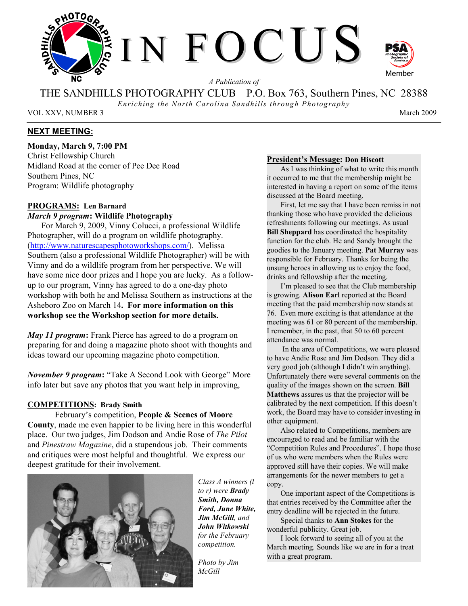

*A Publication of* 

THE SANDHILLS PHOTOGRAPHY CLUB P.O. Box 763, Southern Pines, NC 28388

*Enriching the North Carolina Sandhills through Photography* 

VOL XXV, NUMBER 3 March 2009

# **NEXT MEETING:**

**Monday, March 9, 7:00 PM** 

Christ Fellowship Church Midland Road at the corner of Pee Dee Road Southern Pines, NC Program: Wildlife photography

# **PROGRAMS: Len Barnard**

# *March 9 program***: Wildlife Photography**

For March 9, 2009, Vinny Colucci, a professional Wildlife Photographer, will do a program on wildlife photography. (http://www.naturescapesphotoworkshops.com/). Melissa Southern (also a professional Wildlife Photographer) will be with Vinny and do a wildlife program from her perspective. We will have some nice door prizes and I hope you are lucky. As a followup to our program, Vinny has agreed to do a one-day photo workshop with both he and Melissa Southern as instructions at the Asheboro Zoo on March 14**. For more information on this workshop see the Workshop section for more details.**

*May 11 program***:** Frank Pierce has agreed to do a program on preparing for and doing a magazine photo shoot with thoughts and ideas toward our upcoming magazine photo competition.

*November 9 program***:** "Take A Second Look with George" More info later but save any photos that you want help in improving,

### **COMPETITIONS: Brady Smith**

February's competition, **People & Scenes of Moore County**, made me even happier to be living here in this wonderful place. Our two judges, Jim Dodson and Andie Rose of *The Pilot* and *Pinestraw Magazine*, did a stupendous job. Their comments and critiques were most helpful and thoughtful. We express our deepest gratitude for their involvement.



*Class A winners (l to r) were Brady Smith, Donna Ford, June White, Jim McGill, and John Witkowski for the February competition.* 

*Photo by Jim McGill*

#### **President's Message: Don Hiscott**

As I was thinking of what to write this month it occurred to me that the membership might be interested in having a report on some of the items discussed at the Board meeting.

First, let me say that I have been remiss in not thanking those who have provided the delicious refreshments following our meetings. As usual **Bill Sheppard** has coordinated the hospitality function for the club. He and Sandy brought the goodies to the January meeting. **Pat Murray** was responsible for February. Thanks for being the unsung heroes in allowing us to enjoy the food, drinks and fellowship after the meeting.

I'm pleased to see that the Club membership is growing. **Alison Earl** reported at the Board meeting that the paid membership now stands at 76. Even more exciting is that attendance at the meeting was 61 or 80 percent of the membership. I remember, in the past, that 50 to 60 percent attendance was normal.

 In the area of Competitions, we were pleased to have Andie Rose and Jim Dodson. They did a very good job (although I didn't win anything). Unfortunately there were several comments on the quality of the images shown on the screen. **Bill Matthews** assures us that the projector will be calibrated by the next competition. If this doesn't work, the Board may have to consider investing in other equipment.

Also related to Competitions, members are encouraged to read and be familiar with the "Competition Rules and Procedures". I hope those of us who were members when the Rules were approved still have their copies. We will make arrangements for the newer members to get a copy.

One important aspect of the Competitions is that entries received by the Committee after the entry deadline will be rejected in the future.

Special thanks to **Ann Stokes** for the wonderful publicity. Great job.

I look forward to seeing all of you at the March meeting. Sounds like we are in for a treat with a great program.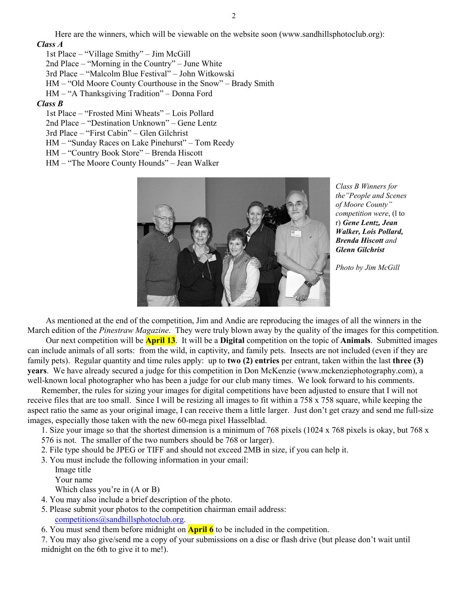Here are the winners, which will be viewable on the website soon (www.sandhillsphotoclub.org): *Class A* 

1st Place – "Village Smithy" – Jim McGill 2nd Place – "Morning in the Country" – June White 3rd Place – "Malcolm Blue Festival" – John Witkowski HM – "Old Moore County Courthouse in the Snow" – Brady Smith HM – "A Thanksgiving Tradition" – Donna Ford *Class B*  1st Place – "Frosted Mini Wheats" – Lois Pollard 2nd Place – "Destination Unknown" – Gene Lentz

3rd Place – "First Cabin" – Glen Gilchrist

HM – "Sunday Races on Lake Pinehurst" – Tom Reedy

HM – "Country Book Store" – Brenda Hiscott

HM – "The Moore County Hounds" – Jean Walker



*Class B Winners for the"People and Scenes of Moore County" competition were*, (l to r) *Gene Lentz, Jean Walker, Lois Pollard, Brenda Hiscott and Glenn Gilchrist* 

*Photo by Jim McGill*

As mentioned at the end of the competition, Jim and Andie are reproducing the images of all the winners in the March edition of the *Pinestraw Magazine*. They were truly blown away by the quality of the images for this competition.

Our next competition will be **April 13**. It will be a **Digital** competition on the topic of **Animals**. Submitted images can include animals of all sorts: from the wild, in captivity, and family pets. Insects are not included (even if they are family pets). Regular quantity and time rules apply: up to **two (2) entries** per entrant, taken within the last **three (3) years**. We have already secured a judge for this competition in Don McKenzie (www.mckenziephotography.com), a well-known local photographer who has been a judge for our club many times. We look forward to his comments.

Remember, the rules for sizing your images for digital competitions have been adjusted to ensure that I will not receive files that are too small. Since I will be resizing all images to fit within a 758 x 758 square, while keeping the aspect ratio the same as your original image, I can receive them a little larger. Just don't get crazy and send me full-size images, especially those taken with the new 60-mega pixel Hasselblad.

1. Size your image so that the shortest dimension is a minimum of 768 pixels (1024 x 768 pixels is okay, but 768 x

576 is not. The smaller of the two numbers should be 768 or larger).

2. File type should be JPEG or TIFF and should not exceed 2MB in size, if you can help it.

3. You must include the following information in your email:

 Image title Your name

Which class you're in (A or B)

- 4. You may also include a brief description of the photo.
- 5. Please submit your photos to the competition chairman email address: competitions@sandhillsphotoclub.org.

6. You must send them before midnight on **April 6** to be included in the competition.

7. You may also give/send me a copy of your submissions on a disc or flash drive (but please don't wait until midnight on the 6th to give it to me!).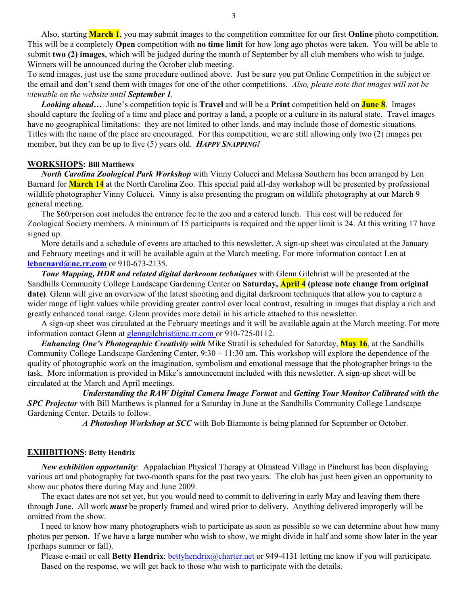Also, starting **March 1**, you may submit images to the competition committee for our first **Online** photo competition. This will be a completely **Open** competition with **no time limit** for how long ago photos were taken. You will be able to submit **two (2) images**, which will be judged during the month of September by all club members who wish to judge. Winners will be announced during the October club meeting.

To send images, just use the same procedure outlined above. Just be sure you put Online Competition in the subject or the email and don't send them with images for one of the other competitions. *Also, please note that images will not be viewable on the website until September 1.* 

*Looking ahead…* June's competition topic is **Travel** and will be a **Print** competition held on **June 8**. Images should capture the feeling of a time and place and portray a land, a people or a culture in its natural state. Travel images have no geographical limitations: they are not limited to other lands, and may include those of domestic situations. Titles with the name of the place are encouraged. For this competition, we are still allowing only two (2) images per member, but they can be up to five (5) years old. *HAPPY SNAPPING!*

# **WORKSHOPS: Bill Matthews**

*North Carolina Zoological Park Workshop* with Vinny Colucci and Melissa Southern has been arranged by Len Barnard for **March 14** at the North Carolina Zoo. This special paid all-day workshop will be presented by professional wildlife photographer Vinny Colucci. Vinny is also presenting the program on wildlife photography at our March 9 general meeting.

The \$60/person cost includes the entrance fee to the zoo and a catered lunch. This cost will be reduced for Zoological Society members. A minimum of 15 participants is required and the upper limit is 24. At this writing 17 have signed up.

More details and a schedule of events are attached to this newsletter. A sign-up sheet was circulated at the January and February meetings and it will be available again at the March meeting. For more information contact Len at **lcbarnard@nc.rr.com** or 910-673-2135.

*Tone Mapping, HDR and related digital darkroom techniques* with Glenn Gilchrist will be presented at the Sandhills Community College Landscape Gardening Center on **Saturday, April 4 (please note change from original date)**. Glenn will give an overview of the latest shooting and digital darkroom techniques that allow you to capture a wider range of light values while providing greater control over local contrast, resulting in images that display a rich and greatly enhanced tonal range. Glenn provides more detail in his article attached to this newsletter.

A sign-up sheet was circulated at the February meetings and it will be available again at the March meeting. For more information contact Glenn at glenngilchrist@nc.rr.com or 910-725-0112.

*Enhancing One's Photographic Creativity with* Mike Stratil is scheduled for Saturday, **May 16**, at the Sandhills Community College Landscape Gardening Center, 9:30 – 11:30 am. This workshop will explore the dependence of the quality of photographic work on the imagination, symbolism and emotional message that the photographer brings to the task. More information is provided in Mike's announcement included with this newsletter. A sign-up sheet will be circulated at the March and April meetings.

 *Understanding the RAW Digital Camera Image Format* and *Getting Your Monitor Calibrated with the SPC Projector* with Bill Matthews is planned for a Saturday in June at the Sandhills Community College Landscape Gardening Center. Details to follow.

 *A Photoshop Workshop at SCC* with Bob Biamonte is being planned for September or October.

#### **EXHIBITIONS: Betty Hendrix**

*New exhibition opportunity*: Appalachian Physical Therapy at Olmstead Village in Pinehurst has been displaying various art and photography for two-month spans for the past two years. The club has just been given an opportunity to show our photos there during May and June 2009.

The exact dates are not set yet, but you would need to commit to delivering in early May and leaving them there through June. All work *must* be properly framed and wired prior to delivery. Anything delivered improperly will be omitted from the show.

I need to know how many photographers wish to participate as soon as possible so we can determine about how many photos per person. If we have a large number who wish to show, we might divide in half and some show later in the year (perhaps summer or fall).

Please e-mail or call **Betty Hendrix**: bettyhendrix@charter.net or 949-4131 letting me know if you will participate. Based on the response, we will get back to those who wish to participate with the details.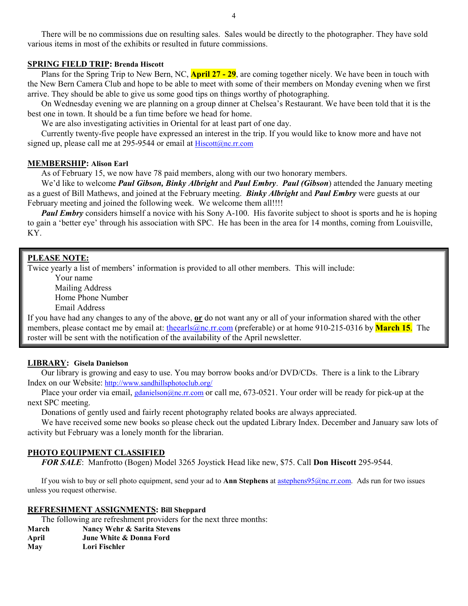There will be no commissions due on resulting sales. Sales would be directly to the photographer. They have sold various items in most of the exhibits or resulted in future commissions.

#### **SPRING FIELD TRIP: Brenda Hiscott**

Plans for the Spring Trip to New Bern, NC, **April 27 - 29**, are coming together nicely. We have been in touch with the New Bern Camera Club and hope to be able to meet with some of their members on Monday evening when we first arrive. They should be able to give us some good tips on things worthy of photographing.

On Wednesday evening we are planning on a group dinner at Chelsea's Restaurant. We have been told that it is the best one in town. It should be a fun time before we head for home.

We are also investigating activities in Oriental for at least part of one day.

Currently twenty-five people have expressed an interest in the trip. If you would like to know more and have not signed up, please call me at 295-9544 or email at Hiscott@nc.rr.com

#### **MEMBERSHIP: Alison Earl**

As of February 15, we now have 78 paid members, along with our two honorary members.

We'd like to welcome *Paul Gibson, Binky Albright* and *Paul Embry*. *Paul (Gibson*) attended the January meeting as a guest of Bill Mathews, and joined at the February meeting. *Binky Albright* and *Paul Embry* were guests at our February meeting and joined the following week. We welcome them all!!!!

*Paul Embry* considers himself a novice with his Sony A-100. His favorite subject to shoot is sports and he is hoping to gain a 'better eye' through his association with SPC. He has been in the area for 14 months, coming from Louisville, KY.

#### **PLEASE NOTE:**

Twice yearly a list of members' information is provided to all other members. This will include:

 Your name Mailing Address Home Phone Number Email Address

If you have had any changes to any of the above, **or** do not want any or all of your information shared with the other members, please contact me by email at: the earls (a) nc.rr.com (preferable) or at home 910-215-0316 by **March 15**. The roster will be sent with the notification of the availability of the April newsletter.

#### **LIBRARY: Gisela Danielson**

 Our library is growing and easy to use. You may borrow books and/or DVD/CDs. There is a link to the Library Index on our Website: http://www.sandhillsphotoclub.org/

Place your order via email, gdanielson@nc.rr.com or call me, 673-0521. Your order will be ready for pick-up at the next SPC meeting.

Donations of gently used and fairly recent photography related books are always appreciated.

We have received some new books so please check out the updated Library Index. December and January saw lots of activity but February was a lonely month for the librarian.

#### **PHOTO EQUIPMENT CLASSIFIED**

*FOR SALE*: Manfrotto (Bogen) Model 3265 Joystick Head like new, \$75. Call **Don Hiscott** 295-9544.

If you wish to buy or sell photo equipment, send your ad to **Ann Stephens** at astephens95@nc.rr.com. Ads run for two issues unless you request otherwise.

#### **REFRESHMENT ASSIGNMENTS: Bill Sheppard**

The following are refreshment providers for the next three months:

**March Nancy Wehr & Sarita Stevens April June White & Donna Ford May Lori Fischler**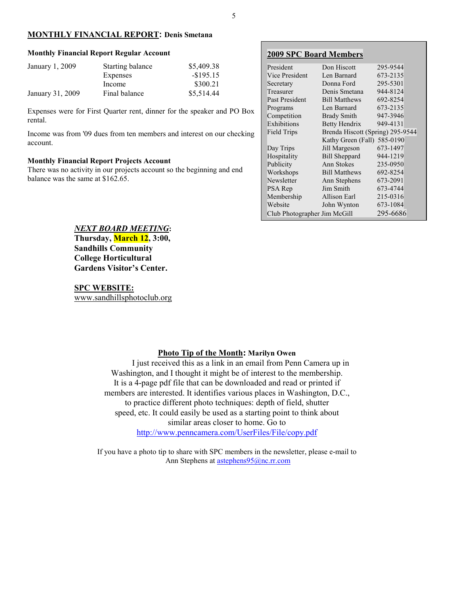#### **MONTHLY FINANCIAL REPORT: Denis Smetana**

#### **Monthly Financial Report Regular Account**

| January 1, 2009  | Starting balance | \$5,409.38   |
|------------------|------------------|--------------|
|                  | Expenses         | $-$ \$195.15 |
|                  | Income           | \$300.21     |
| January 31, 2009 | Final balance    | \$5,514.44   |

Expenses were for First Quarter rent, dinner for the speaker and PO Box rental.

Income was from '09 dues from ten members and interest on our checking account.

#### **Monthly Financial Report Projects Account**

There was no activity in our projects account so the beginning and end balance was the same at \$162.65.

#### **2009 SPC Board Members** President Don Hiscott 295-9544<br>Vice President Len Barnard 673-2135 Vice President Len Barnard 673-2135 Secretary Donna Ford 295-5301 Treasurer Denis Smetana 944-8124 Past President Bill Matthews 692-8254 Programs Len Barnard 673-2135 **Competition** Brady Smith 947-3946<br>Exhibitions Betty Hendrix 949-4131 Exhibitions Betty Hendrix 949-4131<br>Field Trips Brenda Hiscott (Spring) 295-9 Brenda Hiscott (Spring) 295-9544 Kathy Green (Fall) 585-0190 Day Trips Jill Margeson 673-1497 Hospitality Bill Sheppard 944-1219 Publicity Ann Stokes 235-0950 Workshops Bill Matthews 692-8254 Newsletter Ann Stephens 673-2091 PSA Rep Jim Smith 673-4744 Membership Allison Earl 215-0316 Website John Wynton 673-1084 Club Photographer Jim McGill 295-6686

*NEXT BOARD MEETING***:** 

**Thursday, March 12, 3:00, Sandhills Community College Horticultural Gardens Visitor's Center.** 

#### **SPC WEBSITE:**

www.sandhillsphotoclub.org

#### **Photo Tip of the Month: Marilyn Owen**

I just received this as a link in an email from Penn Camera up in Washington, and I thought it might be of interest to the membership. It is a 4-page pdf file that can be downloaded and read or printed if members are interested. It identifies various places in Washington, D.C., to practice different photo techniques: depth of field, shutter speed, etc. It could easily be used as a starting point to think about similar areas closer to home. Go to http://www.penncamera.com/UserFiles/File/copy.pdf

If you have a photo tip to share with SPC members in the newsletter, please e-mail to Ann Stephens at astephens95@nc.rr.com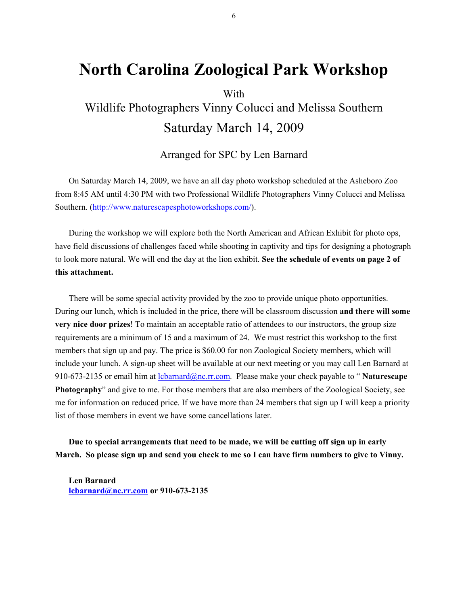# **North Carolina Zoological Park Workshop**

# With Wildlife Photographers Vinny Colucci and Melissa Southern Saturday March 14, 2009

# Arranged for SPC by Len Barnard

On Saturday March 14, 2009, we have an all day photo workshop scheduled at the Asheboro Zoo from 8:45 AM until 4:30 PM with two Professional Wildlife Photographers Vinny Colucci and Melissa Southern. (http://www.naturescapesphotoworkshops.com/).

During the workshop we will explore both the North American and African Exhibit for photo ops, have field discussions of challenges faced while shooting in captivity and tips for designing a photograph to look more natural. We will end the day at the lion exhibit. **See the schedule of events on page 2 of this attachment.**

There will be some special activity provided by the zoo to provide unique photo opportunities. During our lunch, which is included in the price, there will be classroom discussion **and there will some very nice door prizes**! To maintain an acceptable ratio of attendees to our instructors, the group size requirements are a minimum of 15 and a maximum of 24. We must restrict this workshop to the first members that sign up and pay. The price is \$60.00 for non Zoological Society members, which will include your lunch. A sign-up sheet will be available at our next meeting or you may call Len Barnard at 910-673-2135 or email him at lcbarnard@nc.rr.com. Please make your check payable to " **Naturescape Photography**" and give to me. For those members that are also members of the Zoological Society, see me for information on reduced price. If we have more than 24 members that sign up I will keep a priority list of those members in event we have some cancellations later.

**Due to special arrangements that need to be made, we will be cutting off sign up in early March. So please sign up and send you check to me so I can have firm numbers to give to Vinny.** 

**Len Barnard lcbarnard@nc.rr.com or 910-673-2135**  6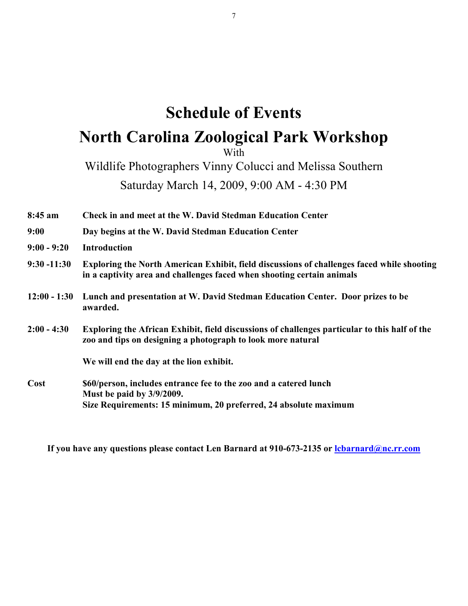# **Schedule of Events North Carolina Zoological Park Workshop**

With

Wildlife Photographers Vinny Colucci and Melissa Southern

Saturday March 14, 2009, 9:00 AM - 4:30 PM

**8:45 am Check in and meet at the W. David Stedman Education Center** 

- **9:00 Day begins at the W. David Stedman Education Center**
- **9:00 9:20 Introduction**
- **9:30 -11:30 Exploring the North American Exhibit, field discussions of challenges faced while shooting in a captivity area and challenges faced when shooting certain animals**
- **12:00 1:30 Lunch and presentation at W. David Stedman Education Center. Door prizes to be awarded.**
- **2:00 4:30 Exploring the African Exhibit, field discussions of challenges particular to this half of the zoo and tips on designing a photograph to look more natural**

**We will end the day at the lion exhibit.** 

**Cost \$60/person, includes entrance fee to the zoo and a catered lunch Must be paid by 3/9/2009. Size Requirements: 15 minimum, 20 preferred, 24 absolute maximum** 

**If you have any questions please contact Len Barnard at 910-673-2135 or lcbarnard@nc.rr.com**

7